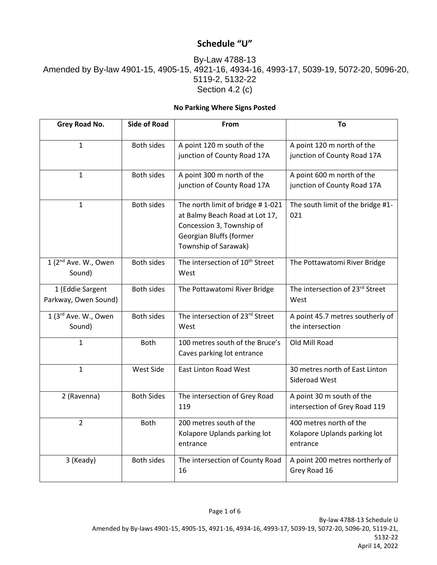## **Schedule "U"**

## By-Law 4788-13 Amended by By-law 4901-15, 4905-15, 4921-16, 4934-16, 4993-17, 5039-19, 5072-20, 5096-20, 5119-2, 5132-22 Section 4.2 (c)

## **No Parking Where Signs Posted**

| Grey Road No.                              | <b>Side of Road</b> | <b>From</b>                                                                                                                                        | Τo                                                                  |
|--------------------------------------------|---------------------|----------------------------------------------------------------------------------------------------------------------------------------------------|---------------------------------------------------------------------|
| 1                                          | <b>Both sides</b>   | A point 120 m south of the<br>junction of County Road 17A                                                                                          | A point 120 m north of the<br>junction of County Road 17A           |
| $\mathbf{1}$                               | <b>Both sides</b>   | A point 300 m north of the<br>junction of County Road 17A                                                                                          | A point 600 m north of the<br>junction of County Road 17A           |
| $\mathbf{1}$                               | <b>Both sides</b>   | The north limit of bridge #1-021<br>at Balmy Beach Road at Lot 17,<br>Concession 3, Township of<br>Georgian Bluffs (former<br>Township of Sarawak) | The south limit of the bridge #1-<br>021                            |
| 1 (2 <sup>nd</sup> Ave. W., Owen<br>Sound) | <b>Both sides</b>   | The intersection of 10 <sup>th</sup> Street<br>West                                                                                                | The Pottawatomi River Bridge                                        |
| 1 (Eddie Sargent<br>Parkway, Owen Sound)   | <b>Both sides</b>   | The Pottawatomi River Bridge                                                                                                                       | The intersection of 23rd Street<br>West                             |
| 1 (3rd Ave. W., Owen<br>Sound)             | <b>Both sides</b>   | The intersection of 23rd Street<br>West                                                                                                            | A point 45.7 metres southerly of<br>the intersection                |
| $\mathbf{1}$                               | <b>Both</b>         | 100 metres south of the Bruce's<br>Caves parking lot entrance                                                                                      | Old Mill Road                                                       |
| $\mathbf{1}$                               | West Side           | <b>East Linton Road West</b>                                                                                                                       | 30 metres north of East Linton<br>Sideroad West                     |
| 2 (Ravenna)                                | <b>Both Sides</b>   | The intersection of Grey Road<br>119                                                                                                               | A point 30 m south of the<br>intersection of Grey Road 119          |
| $\overline{2}$                             | Both                | 200 metres south of the<br>Kolapore Uplands parking lot<br>entrance                                                                                | 400 metres north of the<br>Kolapore Uplands parking lot<br>entrance |
| 3 (Keady)                                  | <b>Both sides</b>   | The intersection of County Road<br>16                                                                                                              | A point 200 metres northerly of<br>Grey Road 16                     |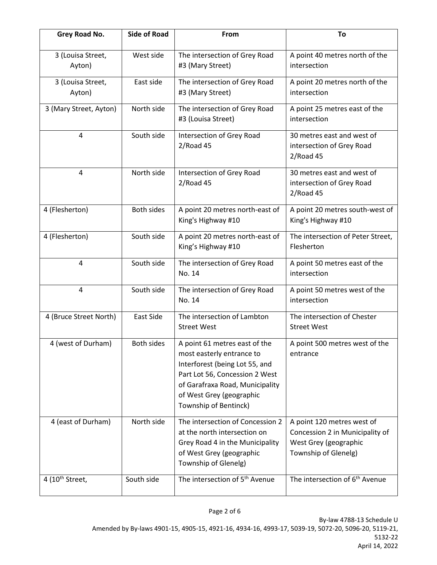| Grey Road No.               | <b>Side of Road</b> | From                                                                                                                                                                                                                   | To                                                                                                             |
|-----------------------------|---------------------|------------------------------------------------------------------------------------------------------------------------------------------------------------------------------------------------------------------------|----------------------------------------------------------------------------------------------------------------|
| 3 (Louisa Street,<br>Ayton) | West side           | The intersection of Grey Road<br>#3 (Mary Street)                                                                                                                                                                      | A point 40 metres north of the<br>intersection                                                                 |
| 3 (Louisa Street,<br>Ayton) | East side           | The intersection of Grey Road<br>#3 (Mary Street)                                                                                                                                                                      | A point 20 metres north of the<br>intersection                                                                 |
| 3 (Mary Street, Ayton)      | North side          | The intersection of Grey Road<br>#3 (Louisa Street)                                                                                                                                                                    | A point 25 metres east of the<br>intersection                                                                  |
| 4                           | South side          | Intersection of Grey Road<br>$2/R$ oad 45                                                                                                                                                                              | 30 metres east and west of<br>intersection of Grey Road<br>$2/R$ oad 45                                        |
| $\overline{4}$              | North side          | Intersection of Grey Road<br>$2/R$ oad 45                                                                                                                                                                              | 30 metres east and west of<br>intersection of Grey Road<br>$2/R$ oad 45                                        |
| 4 (Flesherton)              | <b>Both sides</b>   | A point 20 metres north-east of<br>King's Highway #10                                                                                                                                                                  | A point 20 metres south-west of<br>King's Highway #10                                                          |
| 4 (Flesherton)              | South side          | A point 20 metres north-east of<br>King's Highway #10                                                                                                                                                                  | The intersection of Peter Street,<br>Flesherton                                                                |
| 4                           | South side          | The intersection of Grey Road<br>No. 14                                                                                                                                                                                | A point 50 metres east of the<br>intersection                                                                  |
| 4                           | South side          | The intersection of Grey Road<br>No. 14                                                                                                                                                                                | A point 50 metres west of the<br>intersection                                                                  |
| 4 (Bruce Street North)      | East Side           | The intersection of Lambton<br><b>Street West</b>                                                                                                                                                                      | The intersection of Chester<br><b>Street West</b>                                                              |
| 4 (west of Durham)          | <b>Both sides</b>   | A point 61 metres east of the<br>most easterly entrance to<br>Interforest (being Lot 55, and<br>Part Lot 56, Concession 2 West<br>of Garafraxa Road, Municipality<br>of West Grey (geographic<br>Township of Bentinck) | A point 500 metres west of the<br>entrance                                                                     |
| 4 (east of Durham)          | North side          | The intersection of Concession 2<br>at the north intersection on<br>Grey Road 4 in the Municipality<br>of West Grey (geographic<br>Township of Glenelg)                                                                | A point 120 metres west of<br>Concession 2 in Municipality of<br>West Grey (geographic<br>Township of Glenelg) |
| 4 (10 <sup>th</sup> Street, | South side          | The intersection of 5 <sup>th</sup> Avenue                                                                                                                                                                             | The intersection of 6 <sup>th</sup> Avenue                                                                     |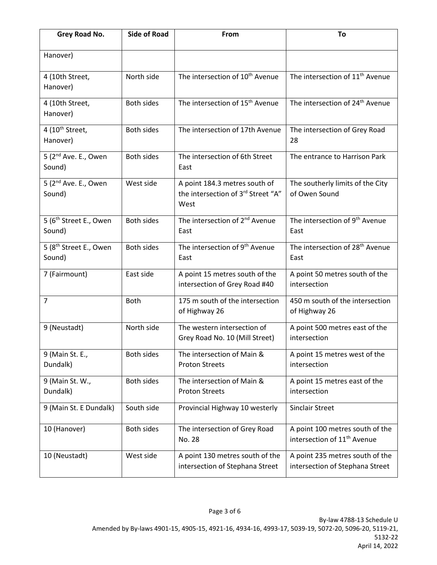| Grey Road No.                                | <b>Side of Road</b> | From                                                                        | To                                                                         |
|----------------------------------------------|---------------------|-----------------------------------------------------------------------------|----------------------------------------------------------------------------|
| Hanover)                                     |                     |                                                                             |                                                                            |
| 4 (10th Street,<br>Hanover)                  | North side          | The intersection of 10 <sup>th</sup> Avenue                                 | The intersection of 11 <sup>th</sup> Avenue                                |
| 4 (10th Street,<br>Hanover)                  | <b>Both sides</b>   | The intersection of 15 <sup>th</sup> Avenue                                 | The intersection of 24 <sup>th</sup> Avenue                                |
| 4 (10 <sup>th</sup> Street,<br>Hanover)      | <b>Both sides</b>   | The intersection of 17th Avenue                                             | The intersection of Grey Road<br>28                                        |
| 5 (2 <sup>nd</sup> Ave. E., Owen<br>Sound)   | <b>Both sides</b>   | The intersection of 6th Street<br>East                                      | The entrance to Harrison Park                                              |
| 5 (2 <sup>nd</sup> Ave. E., Owen<br>Sound)   | West side           | A point 184.3 metres south of<br>the intersection of 3rd Street "A"<br>West | The southerly limits of the City<br>of Owen Sound                          |
| 5 (6 <sup>th</sup> Street E., Owen<br>Sound) | <b>Both sides</b>   | The intersection of 2 <sup>nd</sup> Avenue<br>East                          | The intersection of 9 <sup>th</sup> Avenue<br>East                         |
| 5 (8 <sup>th</sup> Street E., Owen<br>Sound) | <b>Both sides</b>   | The intersection of 9 <sup>th</sup> Avenue<br>East                          | The intersection of 28 <sup>th</sup> Avenue<br>East                        |
| 7 (Fairmount)                                | East side           | A point 15 metres south of the<br>intersection of Grey Road #40             | A point 50 metres south of the<br>intersection                             |
| $\overline{7}$                               | <b>Both</b>         | 175 m south of the intersection<br>of Highway 26                            | 450 m south of the intersection<br>of Highway 26                           |
| 9 (Neustadt)                                 | North side          | The western intersection of<br>Grey Road No. 10 (Mill Street)               | A point 500 metres east of the<br>intersection                             |
| 9 (Main St. E.,<br>Dundalk)                  | Both sides          | The intersection of Main &<br><b>Proton Streets</b>                         | A point 15 metres west of the<br>intersection                              |
| 9 (Main St. W.,<br>Dundalk)                  | Both sides          | The intersection of Main &<br><b>Proton Streets</b>                         | A point 15 metres east of the<br>intersection                              |
| 9 (Main St. E Dundalk)                       | South side          | Provincial Highway 10 westerly                                              | <b>Sinclair Street</b>                                                     |
| 10 (Hanover)                                 | Both sides          | The intersection of Grey Road<br>No. 28                                     | A point 100 metres south of the<br>intersection of 11 <sup>th</sup> Avenue |
| 10 (Neustadt)                                | West side           | A point 130 metres south of the<br>intersection of Stephana Street          | A point 235 metres south of the<br>intersection of Stephana Street         |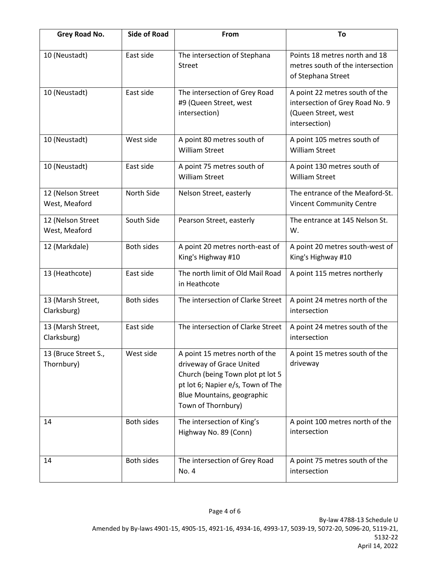| Grey Road No.                      | <b>Side of Road</b> | From                                                                                                                                                                                    | To                                                                                                        |
|------------------------------------|---------------------|-----------------------------------------------------------------------------------------------------------------------------------------------------------------------------------------|-----------------------------------------------------------------------------------------------------------|
| 10 (Neustadt)                      | East side           | The intersection of Stephana<br><b>Street</b>                                                                                                                                           | Points 18 metres north and 18<br>metres south of the intersection<br>of Stephana Street                   |
| 10 (Neustadt)                      | East side           | The intersection of Grey Road<br>#9 (Queen Street, west<br>intersection)                                                                                                                | A point 22 metres south of the<br>intersection of Grey Road No. 9<br>(Queen Street, west<br>intersection) |
| 10 (Neustadt)                      | West side           | A point 80 metres south of<br><b>William Street</b>                                                                                                                                     | A point 105 metres south of<br><b>William Street</b>                                                      |
| 10 (Neustadt)                      | East side           | A point 75 metres south of<br><b>William Street</b>                                                                                                                                     | A point 130 metres south of<br><b>William Street</b>                                                      |
| 12 (Nelson Street<br>West, Meaford | North Side          | Nelson Street, easterly                                                                                                                                                                 | The entrance of the Meaford-St.<br><b>Vincent Community Centre</b>                                        |
| 12 (Nelson Street<br>West, Meaford | South Side          | Pearson Street, easterly                                                                                                                                                                | The entrance at 145 Nelson St.<br>W.                                                                      |
| 12 (Markdale)                      | <b>Both sides</b>   | A point 20 metres north-east of<br>King's Highway #10                                                                                                                                   | A point 20 metres south-west of<br>King's Highway #10                                                     |
| 13 (Heathcote)                     | East side           | The north limit of Old Mail Road<br>in Heathcote                                                                                                                                        | A point 115 metres northerly                                                                              |
| 13 (Marsh Street,<br>Clarksburg)   | <b>Both sides</b>   | The intersection of Clarke Street                                                                                                                                                       | A point 24 metres north of the<br>intersection                                                            |
| 13 (Marsh Street,<br>Clarksburg)   | East side           | The intersection of Clarke Street                                                                                                                                                       | A point 24 metres south of the<br>intersection                                                            |
| 13 (Bruce Street S.,<br>Thornbury) | West side           | A point 15 metres north of the<br>driveway of Grace United<br>Church (being Town plot pt lot 5<br>pt lot 6; Napier e/s, Town of The<br>Blue Mountains, geographic<br>Town of Thornbury) | A point 15 metres south of the<br>driveway                                                                |
| 14                                 | <b>Both sides</b>   | The intersection of King's<br>Highway No. 89 (Conn)                                                                                                                                     | A point 100 metres north of the<br>intersection                                                           |
| 14                                 | <b>Both sides</b>   | The intersection of Grey Road<br>No. 4                                                                                                                                                  | A point 75 metres south of the<br>intersection                                                            |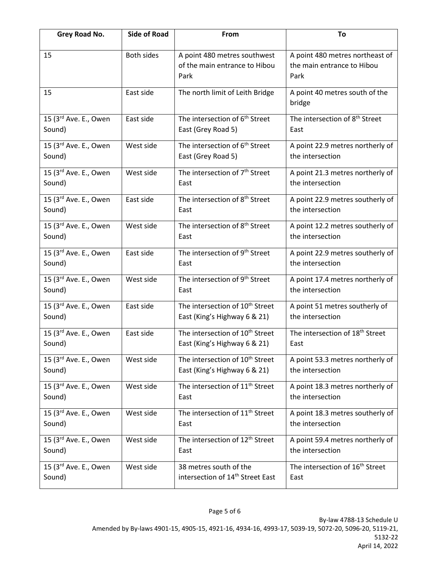| Grey Road No.                     | <b>Side of Road</b> | From                                                                  | To                                                                    |
|-----------------------------------|---------------------|-----------------------------------------------------------------------|-----------------------------------------------------------------------|
| 15                                | <b>Both sides</b>   | A point 480 metres southwest<br>of the main entrance to Hibou<br>Park | A point 480 metres northeast of<br>the main entrance to Hibou<br>Park |
| 15                                | East side           | The north limit of Leith Bridge                                       | A point 40 metres south of the<br>bridge                              |
| 15 (3rd Ave. E., Owen             | East side           | The intersection of 6 <sup>th</sup> Street                            | The intersection of 8 <sup>th</sup> Street                            |
| Sound)                            |                     | East (Grey Road 5)                                                    | East                                                                  |
| 15 (3rd Ave. E., Owen             | West side           | The intersection of 6 <sup>th</sup> Street                            | A point 22.9 metres northerly of                                      |
| Sound)                            |                     | East (Grey Road 5)                                                    | the intersection                                                      |
| 15 (3rd Ave. E., Owen             | West side           | The intersection of 7 <sup>th</sup> Street                            | A point 21.3 metres northerly of                                      |
| Sound)                            |                     | East                                                                  | the intersection                                                      |
| 15 (3rd Ave. E., Owen             | East side           | The intersection of 8 <sup>th</sup> Street                            | A point 22.9 metres southerly of                                      |
| Sound)                            |                     | East                                                                  | the intersection                                                      |
| 15 (3 <sup>rd</sup> Ave. E., Owen | West side           | The intersection of 8 <sup>th</sup> Street                            | A point 12.2 metres southerly of                                      |
| Sound)                            |                     | East                                                                  | the intersection                                                      |
| 15 (3rd Ave. E., Owen             | East side           | The intersection of 9 <sup>th</sup> Street                            | A point 22.9 metres southerly of                                      |
| Sound)                            |                     | East                                                                  | the intersection                                                      |
| 15 (3rd Ave. E., Owen             | West side           | The intersection of 9 <sup>th</sup> Street                            | A point 17.4 metres northerly of                                      |
| Sound)                            |                     | East                                                                  | the intersection                                                      |
| 15 (3rd Ave. E., Owen             | East side           | The intersection of 10 <sup>th</sup> Street                           | A point 51 metres southerly of                                        |
| Sound)                            |                     | East (King's Highway 6 & 21)                                          | the intersection                                                      |
| 15 (3rd Ave. E., Owen             | East side           | The intersection of 10 <sup>th</sup> Street                           | The intersection of 18 <sup>th</sup> Street                           |
| Sound)                            |                     | East (King's Highway 6 & 21)                                          | East                                                                  |
| 15 (3rd Ave. E., Owen             | West side           | The intersection of 10 <sup>th</sup> Street                           | A point 53.3 metres northerly of                                      |
| Sound)                            |                     | East (King's Highway 6 & 21)                                          | the intersection                                                      |
| 15 (3rd Ave. E., Owen             | West side           | The intersection of 11 <sup>th</sup> Street                           | A point 18.3 metres northerly of                                      |
| Sound)                            |                     | East                                                                  | the intersection                                                      |
| 15 (3rd Ave. E., Owen             | West side           | The intersection of 11 <sup>th</sup> Street                           | A point 18.3 metres southerly of                                      |
| Sound)                            |                     | East                                                                  | the intersection                                                      |
| 15 (3rd Ave. E., Owen             | West side           | The intersection of 12 <sup>th</sup> Street                           | A point 59.4 metres northerly of                                      |
| Sound)                            |                     | East                                                                  | the intersection                                                      |
| 15 (3 <sup>rd</sup> Ave. E., Owen | West side           | 38 metres south of the                                                | The intersection of 16 <sup>th</sup> Street                           |
| Sound)                            |                     | intersection of 14 <sup>th</sup> Street East                          | East                                                                  |